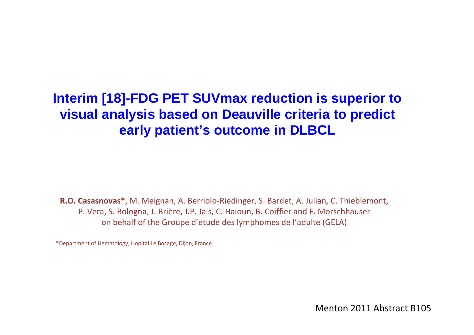#### **Interim [18]-FDG PET SUVmax reduction is superior to visual analysis based on Deauville criteria to predict early patient's outcome in DLBCL**

**R.O. Casasnovas\***, M. Meignan, A. Berriolo-Riedinger, S. Bardet, A. Julian, C. Thieblemont, P. Vera, S. Bologna, J. Brière, J.P. Jais, C. Haioun, B. Coiffier and F. Morschhauser on behalf of the Groupe d'étude des lymphomes de l'adulte (GELA)

\*Department of Hematology, Hopital Le Bocage, Dijon, France

Menton 2011 Abstract B105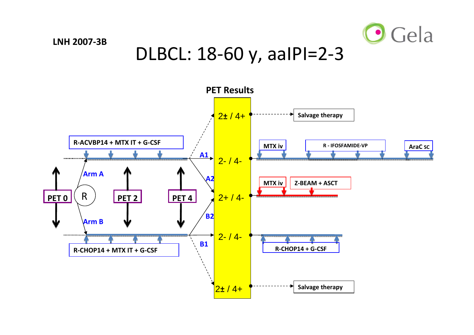

#### DLBCL: 18-60 y, aaIPI=2-3

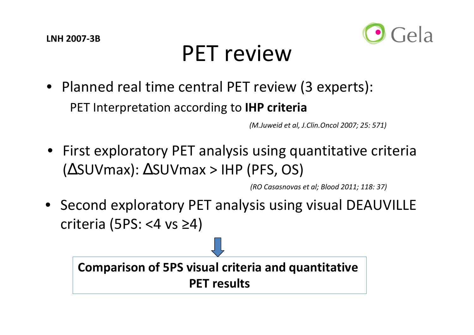

## PET review

• Planned real time central PET review (3 experts): PET Interpretation according to **IHP criteria** 

*(M.Juweid et al, J.Clin.Oncol 2007; 25: 571)*

• First exploratory PET analysis using quantitative criteria (∆SUVmax): ∆SUVmax > IHP (PFS, OS)

*(RO Casasnovas et al; Blood 2011; 118: 37)*

• Second exploratory PET analysis using visual DEAUVILLE criteria (5PS: <4 vs ≥4)

**Comparison of 5PS visual criteria and quantitative PET results**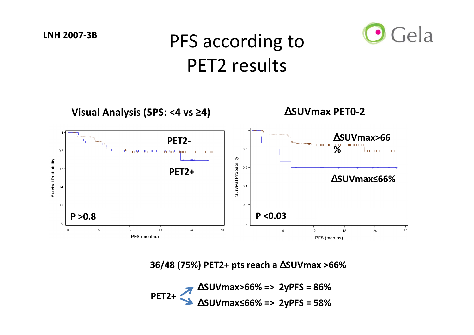#### Gela **LNH 2007-3B**PFS according to PET2 results**Visual Analysis (5PS: <4 vs ≥4)**∆**SUVmax PET0-2**∆**SUVmax>66PET2-%**  $0.8$ 0.8 Survival Probability Survival Probability  $0.6$ 0.6 **PET2+**∆**SUVmax≤66%**  $0.4$  $0.4$  $0.2$  $0.2 \cdot$ **P <0.03P >0.8**

**36/48 (75%) PET2+ pts reach a** ∆**SUVmax >66%**

 $\,6\,$ 

 $12$ 

PFS (months)

18

24

30

∆**SUVmax≤66% => 2yPFS = 58%** ∆**SUVmax>66% => 2yPFS = 86% PET2+**

 $12$ 

PFS (months)

6

 $18\,$ 

 $24$ 

30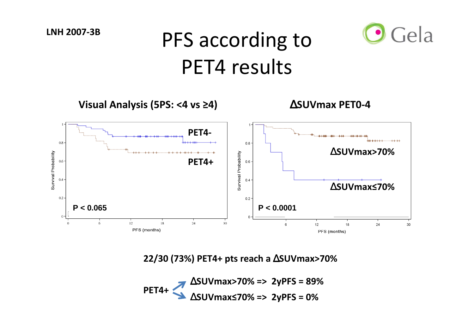## PFS according to PET4 results

Gela



**22/30 (73%) PET4+ pts reach a** ∆**SUVmax>70%**

∆**SUVmax≤70% => 2yPFS = 0%** ∆**SUVmax>70% => 2yPFS = 89% PET4+**

**LNH 2007-3B**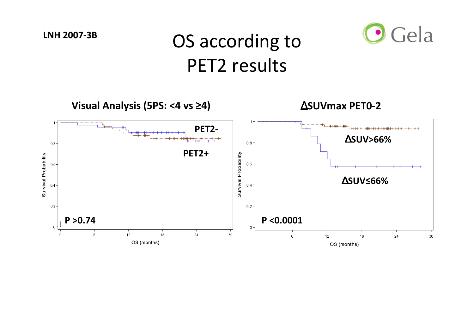#### OS according to PET2 results

Gela

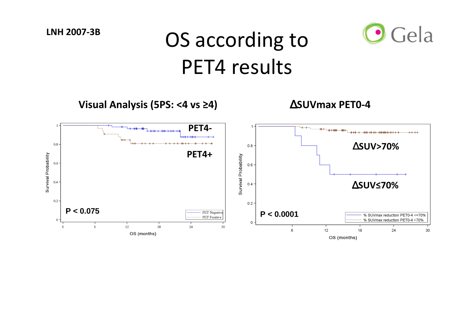# OS according to PET4 results



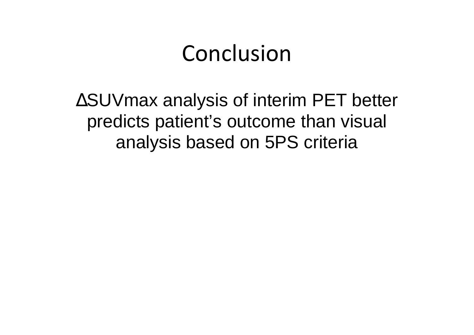### Conclusion

∆SUVmax analysis of interim PET better predicts patient's outcome than visual analysis based on 5PS criteria